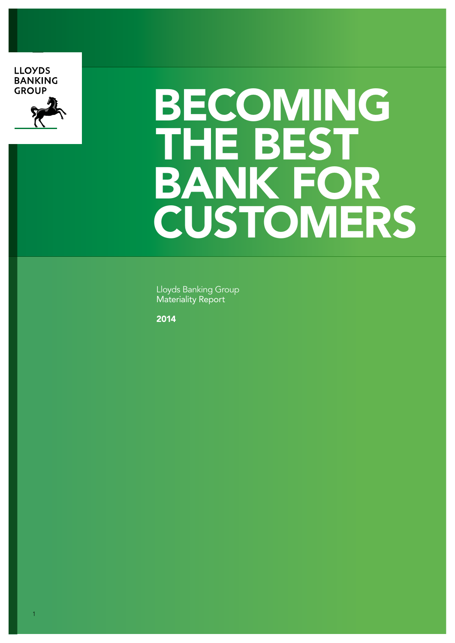**LLOYDS BANKING GROUP** 



# BECOMING THE BEST BANK FOR CUSTOMERS

Lloyds Banking Group Materiality Report

2014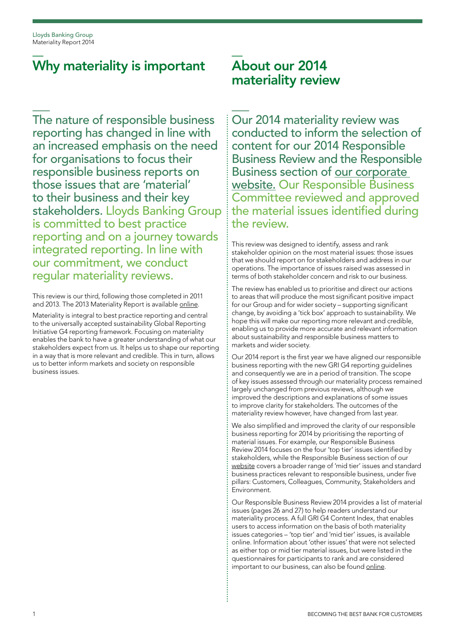### Why materiality is important

The nature of responsible business reporting has changed in line with an increased emphasis on the need for organisations to focus their responsible business reports on those issues that are 'material' to their business and their key stakeholders. Lloyds Banking Group is committed to best practice reporting and on a journey towards integrated reporting. In line with our commitment, we conduct regular materiality reviews.

This review is our third, following those completed in 2011 and 2013. The 2013 Materiality Report is available [online.](http://www.lloydsbankinggroup.com/RBDownloads)

Materiality is integral to best practice reporting and central to the universally accepted sustainability Global Reporting Initiative G4 reporting framework. Focusing on materiality enables the bank to have a greater understanding of what our stakeholders expect from us. It helps us to shape our reporting in a way that is more relevant and credible. This in turn, allows us to better inform markets and society on responsible business issues.

### About our 2014 materiality review

Our 2014 materiality review was conducted to inform the selection of content for our 2014 Responsible Business Review and the Responsible Business section of [our corporate](http://www.lloydsbankinggroup.com)  [website.](http://www.lloydsbankinggroup.com) Our Responsible Business Committee reviewed and approved the material issues identified during the review.

This review was designed to identify, assess and rank stakeholder opinion on the most material issues: those issues that we should report on for stakeholders and address in our operations. The importance of issues raised was assessed in terms of both stakeholder concern and risk to our business.

The review has enabled us to prioritise and direct our actions to areas that will produce the most significant positive impact for our Group and for wider society – supporting significant change, by avoiding a 'tick box' approach to sustainability. We hope this will make our reporting more relevant and credible, enabling us to provide more accurate and relevant information about sustainability and responsible business matters to markets and wider society.

Our 2014 report is the first year we have aligned our responsible business reporting with the new GRI G4 reporting guidelines and consequently we are in a period of transition. The scope of key issues assessed through our materiality process remained largely unchanged from previous reviews, although we improved the descriptions and explanations of some issues to improve clarity for stakeholders. The outcomes of the materiality review however, have changed from last year.

We also simplified and improved the clarity of our responsible business reporting for 2014 by prioritising the reporting of material issues. For example, our Responsible Business Review 2014 focuses on the four 'top tier' issues identified by stakeholders, while the Responsible Business section of our [website](http://www.lloydsbankinggroup.com/RB) covers a broader range of 'mid tier' issues and standard business practices relevant to responsible business, under five pillars: Customers, Colleagues, Community, Stakeholders and Environment.

Our Responsible Business Review 2014 provides a list of material issues (pages 26 and 27) to help readers understand our materiality process. A full GRI G4 Content Index, that enables users to access information on the basis of both materiality issues categories – 'top tier' and 'mid tier' issues, is available online. Information about 'other issues' that were not selected as either top or mid tier material issues, but were listed in the questionnaires for participants to rank and are considered important to our business, can also be found [online.](http://www.lloydsbankinggroup.com/RBDownloads)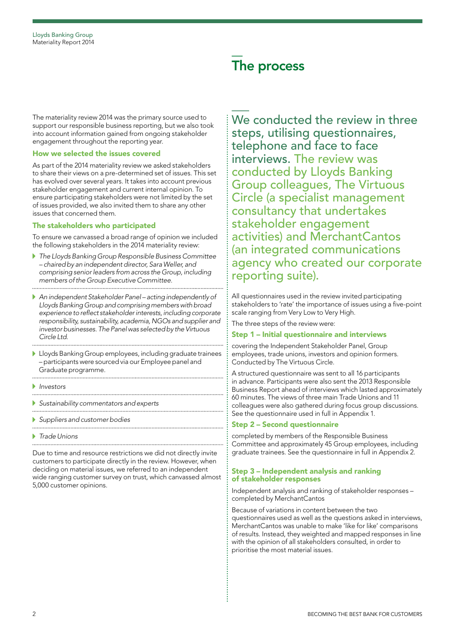### The process

The materiality review 2014 was the primary source used to support our responsible business reporting, but we also took into account information gained from ongoing stakeholder engagement throughout the reporting year.

#### How we selected the issues covered

As part of the 2014 materiality review we asked stakeholders to share their views on a pre-determined set of issues. This set has evolved over several years. It takes into account previous stakeholder engagement and current internal opinion. To ensure participating stakeholders were not limited by the set of issues provided, we also invited them to share any other issues that concerned them.

#### The stakeholders who participated

To ensure we canvassed a broad range of opinion we included the following stakeholders in the 2014 materiality review:

- Þ. *The Lloyds Banking Group Responsible Business Committee – chaired by an independent director, Sara Weller, and comprising senior leaders from across the Group, including members of the Group Executive Committee.*
- *An independent Stakeholder Panel acting independently of Lloyds Banking Group and comprising members with broad experience to reflect stakeholder interests, including corporate responsibility, sustainability, academia, NGOs and supplier and investor businesses. The Panel was selected by the Virtuous Circle Ltd.*
- Lloyds Banking Group employees, including graduate trainees – participants were sourced via our Employee panel and Graduate programme.

- *Investors*
- *Sustainability commentators and experts*

- *Suppliers and customer bodies*
- *Trade Unions*

Due to time and resource restrictions we did not directly invite customers to participate directly in the review. However, when deciding on material issues, we referred to an independent wide ranging customer survey on trust, which canvassed almost 5,000 customer opinions.

We conducted the review in three steps, utilising questionnaires, telephone and face to face interviews. The review was conducted by Lloyds Banking Group colleagues, The Virtuous Circle (a specialist management consultancy that undertakes stakeholder engagement activities) and MerchantCantos (an integrated communications agency who created our corporate reporting suite).

All questionnaires used in the review invited participating stakeholders to 'rate' the importance of issues using a five-point scale ranging from Very Low to Very High.

The three steps of the review were:

#### Step 1 – Initial questionnaire and interviews

covering the Independent Stakeholder Panel, Group employees, trade unions, investors and opinion formers. Conducted by The Virtuous Circle.

A structured questionnaire was sent to all 16 participants in advance. Participants were also sent the 2013 Responsible Business Report ahead of interviews which lasted approximately 60 minutes. The views of three main Trade Unions and 11 colleagues were also gathered during focus group discussions. See the questionnaire used in full in Appendix 1.

#### Step 2 – Second questionnaire

completed by members of the Responsible Business Committee and approximately 45 Group employees, including graduate trainees. See the questionnaire in full in Appendix 2.

#### Step 3 – Independent analysis and ranking of stakeholder responses

Independent analysis and ranking of stakeholder responses – completed by MerchantCantos

Because of variations in content between the two questionnaires used as well as the questions asked in interviews, MerchantCantos was unable to make 'like for like' comparisons of results. Instead, they weighted and mapped responses in line with the opinion of all stakeholders consulted, in order to prioritise the most material issues.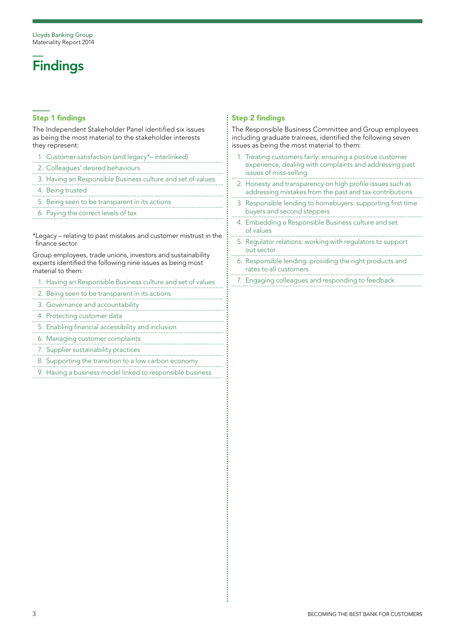# **Findings**

#### Step 1 findings

The Independent Stakeholder Panel identified six issues as being the most material to the stakeholder interests they represent:

- 1. Customer satisfaction (and legacy\*– interlinked)
- 2. Colleagues' desired behaviours
- 3. Having an Responsible Business culture and set of values
- 4. Being trusted
- 5. Being seen to be transparent in its actions
- 6. Paying the correct levels of tax

\*Legacy – relating to past mistakes and customer mistrust in the finance sector

Group employees, trade unions, investors and sustainability experts identified the following nine issues as being most material to them:

- 1. Having an Responsible Business culture and set of values
- 2. Being seen to be transparent in its actions
- and accountability<br>3. Governance and accountability
- 4. Protecting customer data
- 5. Enabling financial accessibility and inclusion
- 6. Managing customer complaints
- 7. Supplier sustainability practices
- 8. Supporting the transition to a low carbon economy
- 9. Having a business model linked to responsible business

#### Step 2 findings

İ

The Responsible Business Committee and Group employees including graduate trainees, identified the following seven issues as being the most material to them:

- 1. Treating customers fairly: ensuring a positive customer experience, dealing with complaints and addressing past issues of miss-selling
- 2. Honesty and transparency on high profile issues such as addressing mistakes from the past and tax contributions
- 3. Responsible lending to homebuyers: supporting first time buyers and second steppers
- 4. Embedding a Responsible Business culture and set of values
- 5. Regulator relations: working with regulators to support out sector
- 6. Responsible lending: providing the right products and rates to all customers
- 7. Engaging colleagues and responding to feedback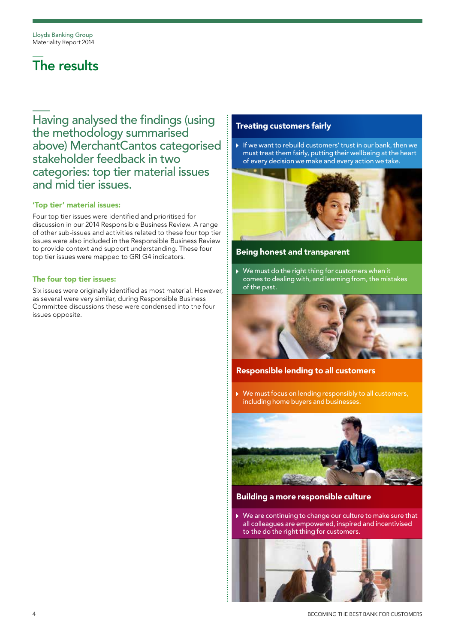## The results

Having analysed the findings (using the methodology summarised above) MerchantCantos categorised stakeholder feedback in two categories: top tier material issues and mid tier issues.

#### 'Top tier' material issues:

Four top tier issues were identified and prioritised for discussion in our 2014 Responsible Business Review. A range of other sub-issues and activities related to these four top tier issues were also included in the Responsible Business Review to provide context and support understanding. These four top tier issues were mapped to GRI G4 indicators.

#### The four top tier issues:

Six issues were originally identified as most material. However, as several were very similar, during Responsible Business Committee discussions these were condensed into the four issues opposite.

#### Treating customers fairly

If we want to rebuild customers' trust in our bank, then we must treat them fairly, putting their wellbeing at the heart of every decision we make and every action we take.



#### Being honest and transparent

 We must do the right thing for customers when it comes to dealing with, and learning from, the mistakes of the past.



#### Responsible lending to all customers

 We must focus on lending responsibly to all customers, including home buyers and businesses.



#### Building a more responsible culture

 We are continuing to change our culture to make sure that all colleagues are empowered, inspired and incentivised to the do the right thing for customers.

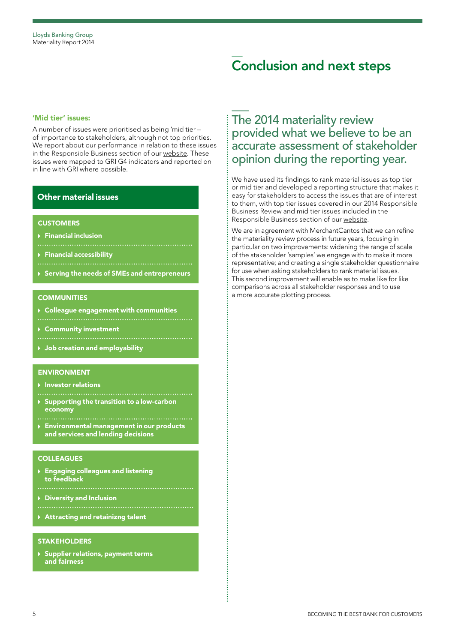### Conclusion and next steps

#### 'Mid tier' issues:

A number of issues were prioritised as being 'mid tier – of importance to stakeholders, although not top priorities. We report about our performance in relation to these issues in the Responsible Business section of our [website.](http://www.lloydsbankinggroup.com/RB) These issues were mapped to GRI G4 indicators and reported on in line with GRI where possible.

#### Other material issues

#### **CUSTOMERS**

- Financial inclusion
- **Financial accessibility**
- 
- ▶ Serving the needs of SMEs and entrepreneurs

#### **COMMUNITIES**

- Colleague engagement with communities
- 
- Community investment
- 
- Job creation and employability

#### ENVIRONMENT

- ▶ Investor relations
- ▶ Supporting the transition to a low-carbon economy
- Environmental management in our products and services and lending decisions

#### **COLLEAGUES**

- Engaging colleagues and listening to feedback
- Diversity and Inclusion
- 
- Attracting and retainizng talent

#### **STAKEHOLDERS**

**> Supplier relations, payment terms** and fairness

### The 2014 materiality review provided what we believe to be an accurate assessment of stakeholder opinion during the reporting year.

We have used its findings to rank material issues as top tier or mid tier and developed a reporting structure that makes it easy for stakeholders to access the issues that are of interest to them, with top tier issues covered in our 2014 Responsible Business Review and mid tier issues included in the Responsible Business section of our [website.](http://www.lloydsbankinggroup.com/RB)

We are in agreement with MerchantCantos that we can refine the materiality review process in future years, focusing in particular on two improvements: widening the range of scale of the stakeholder 'samples' we engage with to make it more representative; and creating a single stakeholder questionnaire for use when asking stakeholders to rank material issues. This second improvement will enable as to make like for like comparisons across all stakeholder responses and to use a more accurate plotting process.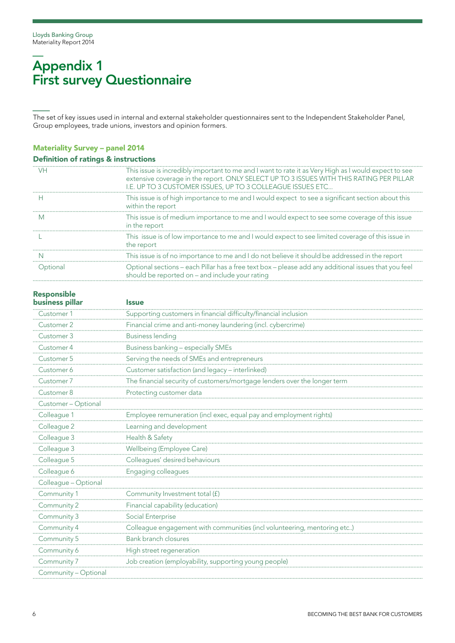### Appendix 1 First survey Questionnaire

The set of key issues used in internal and external stakeholder questionnaires sent to the Independent Stakeholder Panel, Group employees, trade unions, investors and opinion formers.

#### Materiality Survey – panel 2014

|  |  |  |  | <b>Definition of ratings &amp; instructions</b> |
|--|--|--|--|-------------------------------------------------|
|--|--|--|--|-------------------------------------------------|

| This issue is incredibly important to me and I want to rate it as Very High as I would expect to see<br>extensive coverage in the report. ONLY SELECT UP TO 3 ISSUES WITH THIS RATING PER PILLAR<br>I.E. UP TO 3 CUSTOMER ISSUES, UP TO 3 COLLEAGUE ISSUES ETC |
|----------------------------------------------------------------------------------------------------------------------------------------------------------------------------------------------------------------------------------------------------------------|
| This issue is of high importance to me and I would expect to see a significant section about this<br>within the report                                                                                                                                         |
| This issue is of medium importance to me and I would expect to see some coverage of this issue<br>in the report                                                                                                                                                |
| This issue is of low importance to me and I would expect to see limited coverage of this issue in<br>the report                                                                                                                                                |
| This issue is of no importance to me and I do not believe it should be addressed in the report                                                                                                                                                                 |
| Optional sections – each Pillar has a free text box – please add any additional issues that you feel<br>should be reported on - and include your rating                                                                                                        |
|                                                                                                                                                                                                                                                                |

### Responsible

| business pillar      | <b>Issue</b>                                                              |
|----------------------|---------------------------------------------------------------------------|
| Customer 1           | Supporting customers in financial difficulty/financial inclusion          |
| Customer 2           | Financial crime and anti-money laundering (incl. cybercrime)              |
| Customer 3           | <b>Business lending</b>                                                   |
| Customer 4           | Business banking - especially SMEs                                        |
| Customer 5           | Serving the needs of SMEs and entrepreneurs                               |
| Customer 6           | Customer satisfaction (and legacy - interlinked)                          |
| Customer 7           | The financial security of customers/mortgage lenders over the longer term |
| Customer 8           | Protecting customer data                                                  |
| Customer - Optional  |                                                                           |
| Colleague 1          | Employee remuneration (incl exec, equal pay and employment rights)        |
| Colleague 2          | Learning and development                                                  |
| Colleague 3          | Health & Safety                                                           |
| Colleague 3          | Wellbeing (Employee Care)                                                 |
| Colleague 5          | Colleagues' desired behaviours                                            |
| Colleague 6          | Engaging colleagues                                                       |
| Colleague - Optional |                                                                           |
| Community 1          | Community Investment total (f)                                            |
| Community 2          | Financial capability (education)                                          |
| Community 3          | Social Enterprise                                                         |
| Community 4          | Colleague engagement with communities (incl volunteering, mentoring etc)  |
| Community 5          | <b>Bank branch closures</b>                                               |
| Community 6          | High street regeneration                                                  |
| Community 7          | Job creation (employability, supporting young people)                     |
| Community - Optional |                                                                           |
|                      |                                                                           |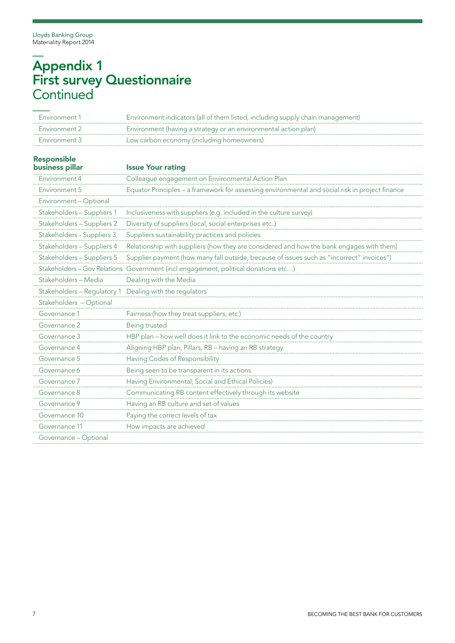### Appendix 1 First survey Questionnaire **Continued**

| Environment 1                                           | Environment indicators (all of them listed, including supply chain management)                  |
|---------------------------------------------------------|-------------------------------------------------------------------------------------------------|
| Environment 2                                           | Environment (having a strategy or an environmental action plan)                                 |
| Environment 3                                           | Low carbon economy (including homeowners)                                                       |
| <b>Responsible</b>                                      |                                                                                                 |
| <b>business pillar</b>                                  | <b>Issue Your rating</b>                                                                        |
| Environment 4                                           | Colleague engagement on Environmental Action Plan                                               |
| Environment 5                                           | Equator Principles - a framework for assessing environmental and social risk in project finance |
| Environment - Optional                                  |                                                                                                 |
| Stakeholders - Suppliers 1                              | Inclusiveness with suppliers (e.g. included in the culture survey)                              |
| Stakeholders - Suppliers 2                              | Diversity of suppliers (local, social enterprises etc)                                          |
| Stakeholders - Suppliers 3                              | Suppliers sustainability practices and policies                                                 |
| Stakeholders - Suppliers 4                              | Relationship with suppliers (how they are considered and how the bank engages with them)        |
| Stakeholders - Suppliers 5                              | Supplier payment (how many fall outside, because of issues such as "incorrect" invoices")       |
| Stakeholders - Gov Relations                            | Government (incl engagement, political donations etc)                                           |
| Stakeholders - Media                                    | Dealing with the Media                                                                          |
| Stakeholders - Regulatory 1 Dealing with the regulators |                                                                                                 |
| Stakeholders - Optional                                 |                                                                                                 |
| Governance 1                                            | Fairness (how they treat suppliers, etc.)                                                       |
| Governance 2                                            | Being trusted                                                                                   |
| Governance 3                                            | HBP plan - how well does it link to the economic needs of the country                           |
| Governance 4                                            | Aligning HBP plan, Pillars, RB - having an RB strategy                                          |
| Governance 5                                            | Having Codes of Responsibility                                                                  |
| Governance 6                                            | Being seen to be transparent in its actions                                                     |
| Governance 7                                            | Having Environmental, Social and Ethical Policies)                                              |
| Governance 8                                            | Communicating RB content effectively through its website                                        |
| Governance 9                                            | Having an RB culture and set of values                                                          |
| Governance 10                                           | Paying the correct levels of tax                                                                |
| Governance 11                                           | How impacts are achieved                                                                        |
| Governance - Optional                                   |                                                                                                 |
|                                                         |                                                                                                 |